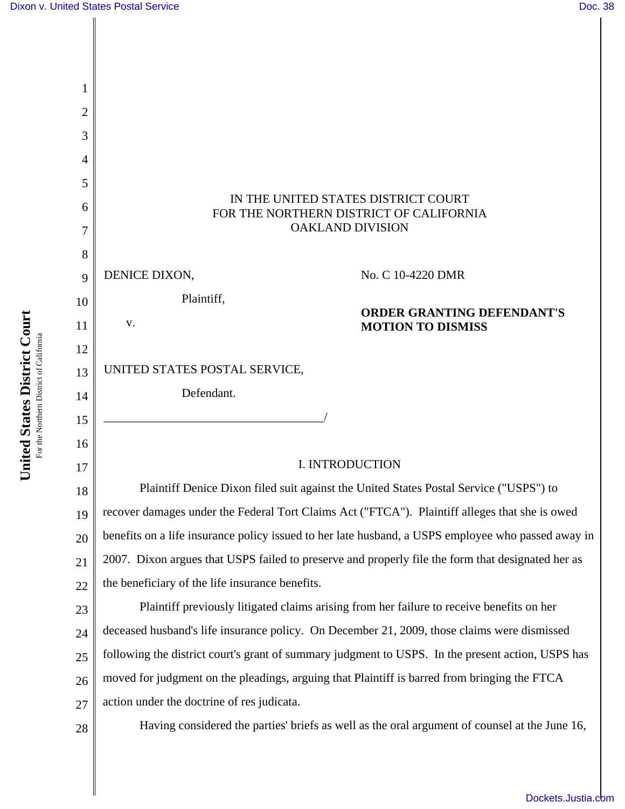| 2  |                                                                                                    |
|----|----------------------------------------------------------------------------------------------------|
| 3  |                                                                                                    |
| 4  |                                                                                                    |
| 5  |                                                                                                    |
| 6  | IN THE UNITED STATES DISTRICT COURT<br>FOR THE NORTHERN DISTRICT OF CALIFORNIA                     |
|    | <b>OAKLAND DIVISION</b>                                                                            |
| 8  |                                                                                                    |
| 9  | DENICE DIXON,<br>No. C 10-4220 DMR                                                                 |
| 10 | Plaintiff,<br><b>ORDER GRANTING DEFENDANT'S</b>                                                    |
| 11 | V.<br><b>MOTION TO DISMISS</b>                                                                     |
| 12 |                                                                                                    |
| 13 | UNITED STATES POSTAL SERVICE,                                                                      |
| 14 | Defendant.                                                                                         |
| 15 |                                                                                                    |
| 16 |                                                                                                    |
| 17 | I. INTRODUCTION                                                                                    |
| 18 | Plaintiff Denice Dixon filed suit against the United States Postal Service ("USPS") to             |
| 19 | recover damages under the Federal Tort Claims Act ("FTCA"). Plaintiff alleges that she is owed     |
| 20 | benefits on a life insurance policy issued to her late husband, a USPS employee who passed away in |
| 21 | 2007. Dixon argues that USPS failed to preserve and properly file the form that designated her as  |
| 22 | the beneficiary of the life insurance benefits.                                                    |
| 23 | Plaintiff previously litigated claims arising from her failure to receive benefits on her          |
| 24 | deceased husband's life insurance policy. On December 21, 2009, those claims were dismissed        |
| 25 | following the district court's grant of summary judgment to USPS. In the present action, USPS has  |
| 26 | moved for judgment on the pleadings, arguing that Plaintiff is barred from bringing the FTCA       |
| 27 | action under the doctrine of res judicata.                                                         |
| 28 | Having considered the parties' briefs as well as the oral argument of counsel at the June 16,      |
|    |                                                                                                    |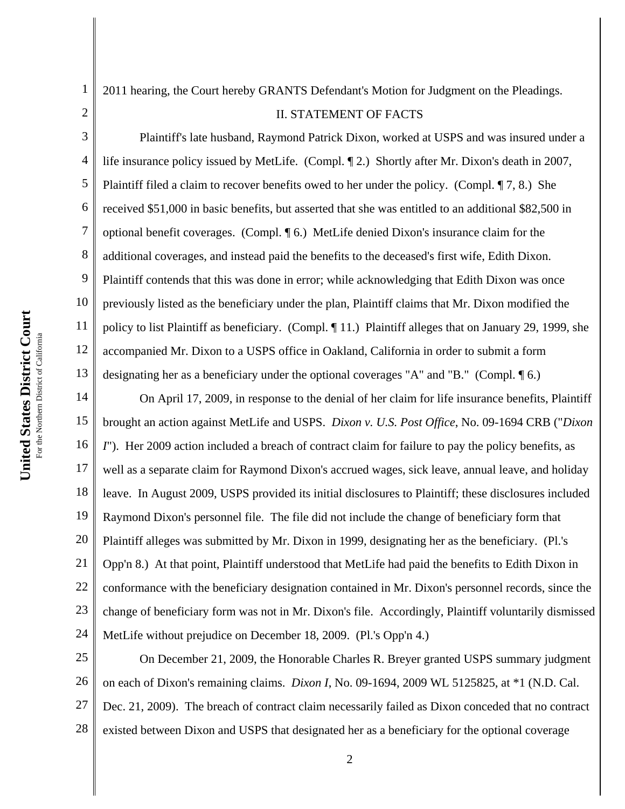1

2

4

5

6

7

8

9

10

11

12

13

2011 hearing, the Court hereby GRANTS Defendant's Motion for Judgment on the Pleadings.

## II. STATEMENT OF FACTS

3 Plaintiff's late husband, Raymond Patrick Dixon, worked at USPS and was insured under a life insurance policy issued by MetLife. (Compl. ¶ 2.) Shortly after Mr. Dixon's death in 2007, Plaintiff filed a claim to recover benefits owed to her under the policy. (Compl. ¶ 7, 8.) She received \$51,000 in basic benefits, but asserted that she was entitled to an additional \$82,500 in optional benefit coverages. (Compl. ¶ 6.) MetLife denied Dixon's insurance claim for the additional coverages, and instead paid the benefits to the deceased's first wife, Edith Dixon. Plaintiff contends that this was done in error; while acknowledging that Edith Dixon was once previously listed as the beneficiary under the plan, Plaintiff claims that Mr. Dixon modified the policy to list Plaintiff as beneficiary. (Compl. ¶ 11.) Plaintiff alleges that on January 29, 1999, she accompanied Mr. Dixon to a USPS office in Oakland, California in order to submit a form designating her as a beneficiary under the optional coverages "A" and "B." (Compl. ¶ 6.)

14 15 16 17 18 19 20 21 22 23 24 On April 17, 2009, in response to the denial of her claim for life insurance benefits, Plaintiff brought an action against MetLife and USPS. *Dixon v. U.S. Post Office*, No. 09-1694 CRB ("*Dixon I*"). Her 2009 action included a breach of contract claim for failure to pay the policy benefits, as well as a separate claim for Raymond Dixon's accrued wages, sick leave, annual leave, and holiday leave. In August 2009, USPS provided its initial disclosures to Plaintiff; these disclosures included Raymond Dixon's personnel file. The file did not include the change of beneficiary form that Plaintiff alleges was submitted by Mr. Dixon in 1999, designating her as the beneficiary. (Pl.'s Opp'n 8.) At that point, Plaintiff understood that MetLife had paid the benefits to Edith Dixon in conformance with the beneficiary designation contained in Mr. Dixon's personnel records, since the change of beneficiary form was not in Mr. Dixon's file. Accordingly, Plaintiff voluntarily dismissed MetLife without prejudice on December 18, 2009. (Pl.'s Opp'n 4.)

25 26 27 28 On December 21, 2009, the Honorable Charles R. Breyer granted USPS summary judgment on each of Dixon's remaining claims. *Dixon I*, No. 09-1694, 2009 WL 5125825, at \*1 (N.D. Cal. Dec. 21, 2009). The breach of contract claim necessarily failed as Dixon conceded that no contract existed between Dixon and USPS that designated her as a beneficiary for the optional coverage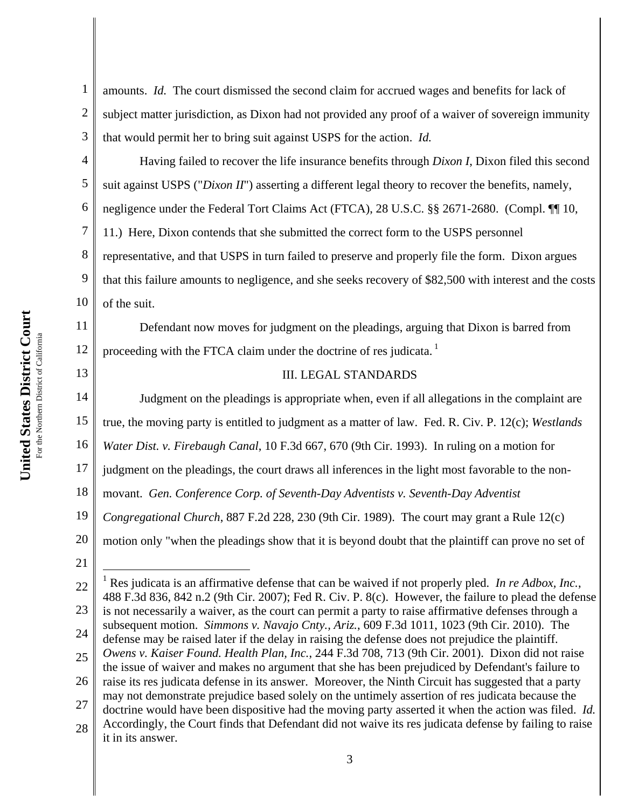1 2 3 amounts. *Id.* The court dismissed the second claim for accrued wages and benefits for lack of subject matter jurisdiction, as Dixon had not provided any proof of a waiver of sovereign immunity that would permit her to bring suit against USPS for the action. *Id.*

4 5 6 7 8 9 10 Having failed to recover the life insurance benefits through *Dixon I*, Dixon filed this second suit against USPS ("*Dixon II*") asserting a different legal theory to recover the benefits, namely, negligence under the Federal Tort Claims Act (FTCA), 28 U.S.C. §§ 2671-2680. (Compl. ¶¶ 10, 11.) Here, Dixon contends that she submitted the correct form to the USPS personnel representative, and that USPS in turn failed to preserve and properly file the form. Dixon argues that this failure amounts to negligence, and she seeks recovery of \$82,500 with interest and the costs of the suit.

Defendant now moves for judgment on the pleadings, arguing that Dixon is barred from proceeding with the FTCA claim under the doctrine of res judicata.<sup>1</sup>

13

14

11

12

## III. LEGAL STANDARDS

Judgment on the pleadings is appropriate when, even if all allegations in the complaint are

15 true, the moving party is entitled to judgment as a matter of law. Fed. R. Civ. P. 12(c); *Westlands* 

16 *Water Dist. v. Firebaugh Canal*, 10 F.3d 667, 670 (9th Cir. 1993). In ruling on a motion for

17 judgment on the pleadings, the court draws all inferences in the light most favorable to the non-

18 movant. *Gen. Conference Corp. of Seventh-Day Adventists v. Seventh-Day Adventist* 

- 19 *Congregational Church*, 887 F.2d 228, 230 (9th Cir. 1989). The court may grant a Rule 12(c)
- 20 motion only "when the pleadings show that it is beyond doubt that the plaintiff can prove no set of
- 21

 $\overline{a}$ 

27 may not demonstrate prejudice based solely on the untimely assertion of res judicata because the

28 doctrine would have been dispositive had the moving party asserted it when the action was filed. *Id.* Accordingly, the Court finds that Defendant did not waive its res judicata defense by failing to raise it in its answer.

<sup>22</sup> 23 24 25 <sup>1</sup> Res judicata is an affirmative defense that can be waived if not properly pled. *In re Adbox, Inc.*, 488 F.3d 836, 842 n.2 (9th Cir. 2007); Fed R. Civ. P. 8(c). However, the failure to plead the defense is not necessarily a waiver, as the court can permit a party to raise affirmative defenses through a subsequent motion. *Simmons v. Navajo Cnty., Ariz.*, 609 F.3d 1011, 1023 (9th Cir. 2010). The defense may be raised later if the delay in raising the defense does not prejudice the plaintiff. *Owens v. Kaiser Found. Health Plan, Inc.*, 244 F.3d 708, 713 (9th Cir. 2001). Dixon did not raise

<sup>26</sup> the issue of waiver and makes no argument that she has been prejudiced by Defendant's failure to raise its res judicata defense in its answer. Moreover, the Ninth Circuit has suggested that a party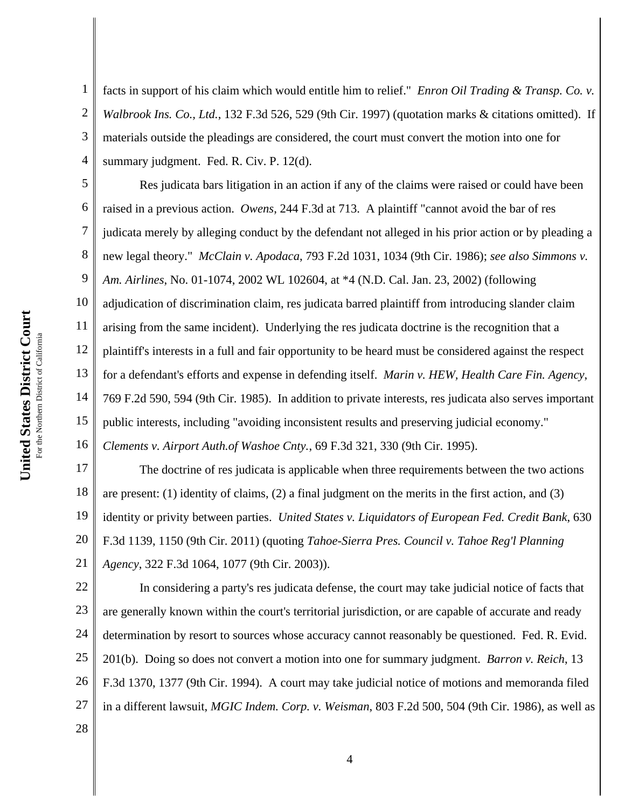1 2 3 4 facts in support of his claim which would entitle him to relief." *Enron Oil Trading & Transp. Co. v. Walbrook Ins. Co., Ltd.*, 132 F.3d 526, 529 (9th Cir. 1997) (quotation marks & citations omitted). If materials outside the pleadings are considered, the court must convert the motion into one for summary judgment. Fed. R. Civ. P. 12(d).

5 6 7 8 9 10 11 12 13 14 15 16 Res judicata bars litigation in an action if any of the claims were raised or could have been raised in a previous action. *Owens*, 244 F.3d at 713. A plaintiff "cannot avoid the bar of res judicata merely by alleging conduct by the defendant not alleged in his prior action or by pleading a new legal theory." *McClain v. Apodaca*, 793 F.2d 1031, 1034 (9th Cir. 1986); *see also Simmons v. Am. Airlines*, No. 01-1074, 2002 WL 102604, at \*4 (N.D. Cal. Jan. 23, 2002) (following adjudication of discrimination claim, res judicata barred plaintiff from introducing slander claim arising from the same incident). Underlying the res judicata doctrine is the recognition that a plaintiff's interests in a full and fair opportunity to be heard must be considered against the respect for a defendant's efforts and expense in defending itself. *Marin v. HEW, Health Care Fin. Agency*, 769 F.2d 590, 594 (9th Cir. 1985). In addition to private interests, res judicata also serves important public interests, including "avoiding inconsistent results and preserving judicial economy." *Clements v. Airport Auth.of Washoe Cnty.*, 69 F.3d 321, 330 (9th Cir. 1995).

17 18 19 20 21 The doctrine of res judicata is applicable when three requirements between the two actions are present: (1) identity of claims, (2) a final judgment on the merits in the first action, and (3) identity or privity between parties. *United States v. Liquidators of European Fed. Credit Bank*, 630 F.3d 1139, 1150 (9th Cir. 2011) (quoting *Tahoe-Sierra Pres. Council v. Tahoe Reg'l Planning Agency*, 322 F.3d 1064, 1077 (9th Cir. 2003)).

22 23 24 25 26 27 28 In considering a party's res judicata defense, the court may take judicial notice of facts that are generally known within the court's territorial jurisdiction, or are capable of accurate and ready determination by resort to sources whose accuracy cannot reasonably be questioned. Fed. R. Evid. 201(b). Doing so does not convert a motion into one for summary judgment. *Barron v. Reich*, 13 F.3d 1370, 1377 (9th Cir. 1994). A court may take judicial notice of motions and memoranda filed in a different lawsuit, *MGIC Indem. Corp. v. Weisman*, 803 F.2d 500, 504 (9th Cir. 1986), as well as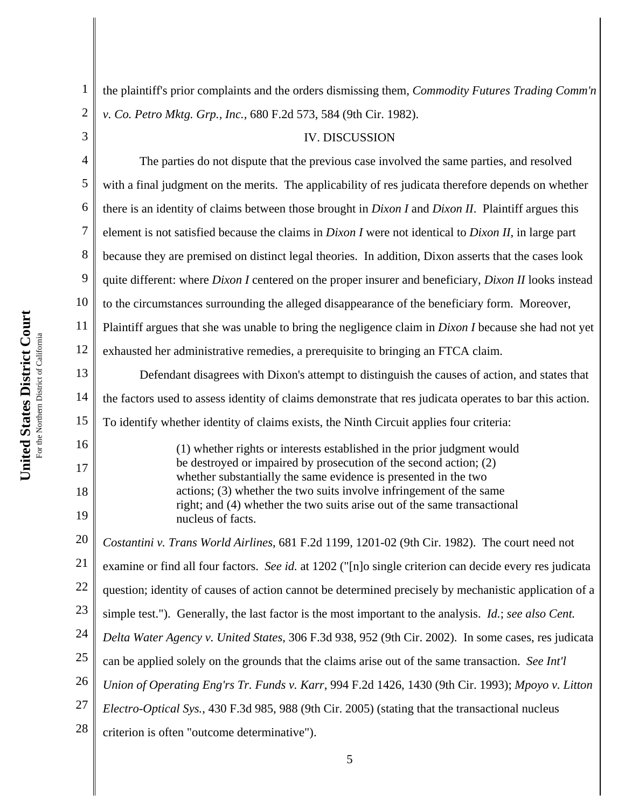3

4

1 2 the plaintiff's prior complaints and the orders dismissing them, *Commodity Futures Trading Comm'n v. Co. Petro Mktg. Grp., Inc.*, 680 F.2d 573, 584 (9th Cir. 1982).

## IV. DISCUSSION

5 6 7 8 9 10 11 12 13 14 15 16 17 18 19 20 21 22 23 24 25 26 27 28 The parties do not dispute that the previous case involved the same parties, and resolved with a final judgment on the merits. The applicability of res judicata therefore depends on whether there is an identity of claims between those brought in *Dixon I* and *Dixon II*. Plaintiff argues this element is not satisfied because the claims in *Dixon I* were not identical to *Dixon II*, in large part because they are premised on distinct legal theories. In addition, Dixon asserts that the cases look quite different: where *Dixon I* centered on the proper insurer and beneficiary, *Dixon II* looks instead to the circumstances surrounding the alleged disappearance of the beneficiary form. Moreover, Plaintiff argues that she was unable to bring the negligence claim in *Dixon I* because she had not yet exhausted her administrative remedies, a prerequisite to bringing an FTCA claim. Defendant disagrees with Dixon's attempt to distinguish the causes of action, and states that the factors used to assess identity of claims demonstrate that res judicata operates to bar this action. To identify whether identity of claims exists, the Ninth Circuit applies four criteria: (1) whether rights or interests established in the prior judgment would be destroyed or impaired by prosecution of the second action; (2) whether substantially the same evidence is presented in the two actions; (3) whether the two suits involve infringement of the same right; and (4) whether the two suits arise out of the same transactional nucleus of facts. *Costantini v. Trans World Airlines*, 681 F.2d 1199, 1201-02 (9th Cir. 1982). The court need not examine or find all four factors. *See id.* at 1202 ("[n]o single criterion can decide every res judicata question; identity of causes of action cannot be determined precisely by mechanistic application of a simple test."). Generally, the last factor is the most important to the analysis. *Id.*; *see also Cent. Delta Water Agency v. United States*, 306 F.3d 938, 952 (9th Cir. 2002). In some cases, res judicata can be applied solely on the grounds that the claims arise out of the same transaction. *See Int'l Union of Operating Eng'rs Tr. Funds v. Karr*, 994 F.2d 1426, 1430 (9th Cir. 1993); *Mpoyo v. Litton Electro-Optical Sys.*, 430 F.3d 985, 988 (9th Cir. 2005) (stating that the transactional nucleus criterion is often "outcome determinative").

5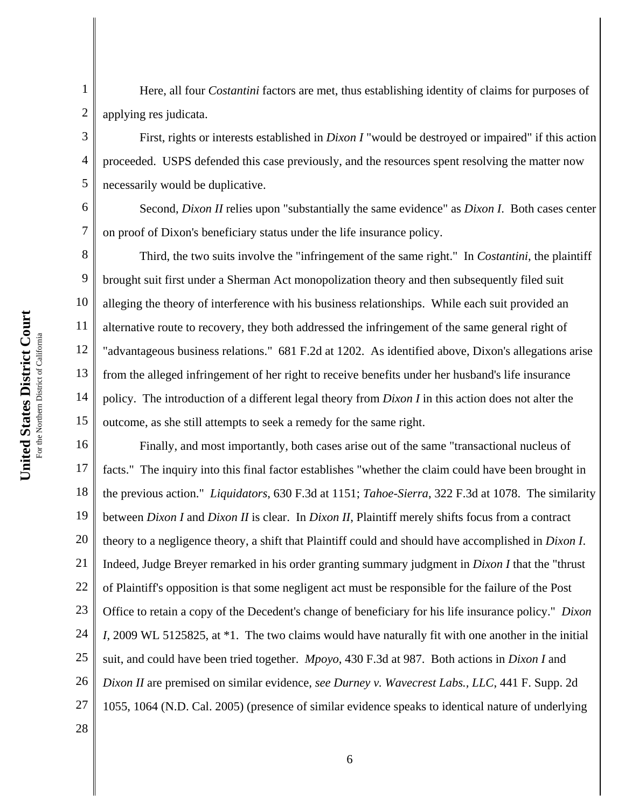1

2

3

4

5

6

7

8

9

10

11

12

13

14

15

Here, all four *Costantini* factors are met, thus establishing identity of claims for purposes of applying res judicata.

First, rights or interests established in *Dixon I* "would be destroyed or impaired" if this action proceeded. USPS defended this case previously, and the resources spent resolving the matter now necessarily would be duplicative.

Second, *Dixon II* relies upon "substantially the same evidence" as *Dixon I*. Both cases center on proof of Dixon's beneficiary status under the life insurance policy.

Third, the two suits involve the "infringement of the same right." In *Costantini*, the plaintiff brought suit first under a Sherman Act monopolization theory and then subsequently filed suit alleging the theory of interference with his business relationships. While each suit provided an alternative route to recovery, they both addressed the infringement of the same general right of "advantageous business relations." 681 F.2d at 1202. As identified above, Dixon's allegations arise from the alleged infringement of her right to receive benefits under her husband's life insurance policy. The introduction of a different legal theory from *Dixon I* in this action does not alter the outcome, as she still attempts to seek a remedy for the same right.

16 17 18 19 20 21 22 23 24 25 26 27 28 Finally, and most importantly, both cases arise out of the same "transactional nucleus of facts." The inquiry into this final factor establishes "whether the claim could have been brought in the previous action." *Liquidators*, 630 F.3d at 1151; *Tahoe-Sierra*, 322 F.3d at 1078. The similarity between *Dixon I* and *Dixon II* is clear. In *Dixon II*, Plaintiff merely shifts focus from a contract theory to a negligence theory, a shift that Plaintiff could and should have accomplished in *Dixon I*. Indeed, Judge Breyer remarked in his order granting summary judgment in *Dixon I* that the "thrust of Plaintiff's opposition is that some negligent act must be responsible for the failure of the Post Office to retain a copy of the Decedent's change of beneficiary for his life insurance policy." *Dixon I*, 2009 WL 5125825, at \*1. The two claims would have naturally fit with one another in the initial suit, and could have been tried together. *Mpoyo*, 430 F.3d at 987. Both actions in *Dixon I* and *Dixon II* are premised on similar evidence, *see Durney v. Wavecrest Labs., LLC*, 441 F. Supp. 2d 1055, 1064 (N.D. Cal. 2005) (presence of similar evidence speaks to identical nature of underlying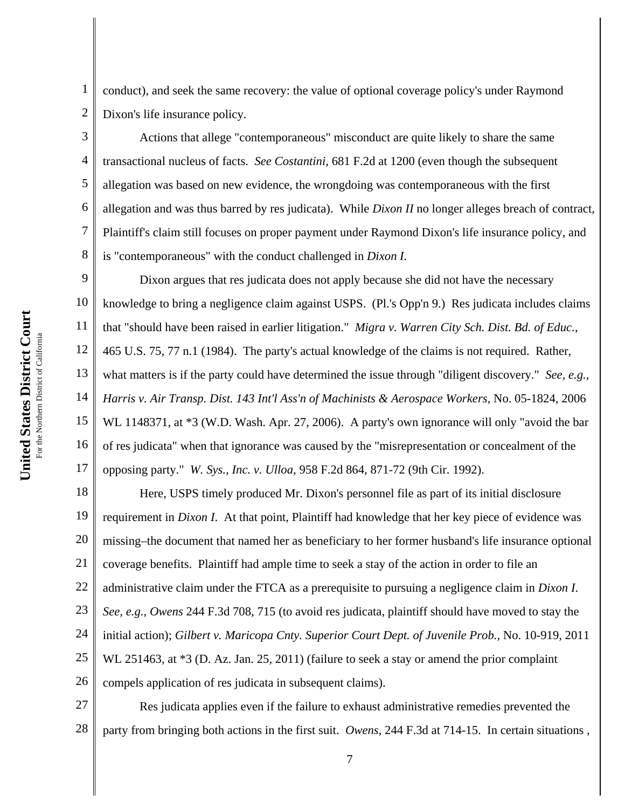**Court** For the Northern District of California For the Northern District of Californi **States District United** 

1

2

3

4

5

6

7

8

conduct), and seek the same recovery: the value of optional coverage policy's under Raymond Dixon's life insurance policy.

Actions that allege "contemporaneous" misconduct are quite likely to share the same transactional nucleus of facts. *See Costantini*, 681 F.2d at 1200 (even though the subsequent allegation was based on new evidence, the wrongdoing was contemporaneous with the first allegation and was thus barred by res judicata). While *Dixon II* no longer alleges breach of contract, Plaintiff's claim still focuses on proper payment under Raymond Dixon's life insurance policy, and is "contemporaneous" with the conduct challenged in *Dixon I.*

9 10 11 12 13 14 15 16 17 Dixon argues that res judicata does not apply because she did not have the necessary knowledge to bring a negligence claim against USPS. (Pl.'s Opp'n 9.) Res judicata includes claims that "should have been raised in earlier litigation." *Migra v. Warren City Sch. Dist. Bd. of Educ.*, 465 U.S. 75, 77 n.1 (1984). The party's actual knowledge of the claims is not required. Rather, what matters is if the party could have determined the issue through "diligent discovery." *See, e.g.*, *Harris v. Air Transp. Dist. 143 Int'l Ass'n of Machinists & Aerospace Workers*, No. 05-1824, 2006 WL 1148371, at  $*3$  (W.D. Wash. Apr. 27, 2006). A party's own ignorance will only "avoid the bar of res judicata" when that ignorance was caused by the "misrepresentation or concealment of the opposing party." *W. Sys., Inc. v. Ulloa*, 958 F.2d 864, 871-72 (9th Cir. 1992).

18 19 20 21 22 23 24 25 26 Here, USPS timely produced Mr. Dixon's personnel file as part of its initial disclosure requirement in *Dixon I*. At that point, Plaintiff had knowledge that her key piece of evidence was missing–the document that named her as beneficiary to her former husband's life insurance optional coverage benefits. Plaintiff had ample time to seek a stay of the action in order to file an administrative claim under the FTCA as a prerequisite to pursuing a negligence claim in *Dixon I*. *See, e.g.*, *Owens* 244 F.3d 708, 715 (to avoid res judicata, plaintiff should have moved to stay the initial action); *Gilbert v. Maricopa Cnty. Superior Court Dept. of Juvenile Prob.*, No. 10-919, 2011 WL 251463, at  $*3$  (D. Az. Jan. 25, 2011) (failure to seek a stay or amend the prior complaint compels application of res judicata in subsequent claims).

27 28 Res judicata applies even if the failure to exhaust administrative remedies prevented the party from bringing both actions in the first suit. *Owens*, 244 F.3d at 714-15. In certain situations ,